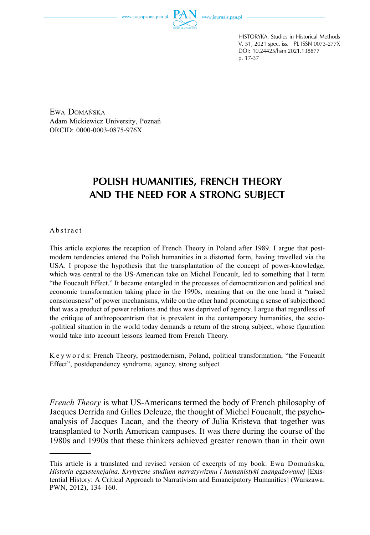www.czasopisma.pan.pl

HISTORYKA. Studies in Historical Methods V. 51, 2021 spec. iss. PL ISSN 0073-277X DOI: 10.24425/hsm.2021.138877 p. 17-37

EWA DOMAŃSKA Adam Mickiewicz University, Poznań [ORCID: 0000‑0003‑0875‑976X](https://orcid.org/0000-0003-0875-976X)

# **POLISH HUMANITIES, FRENCH THEORY AND THE NEED FOR A STRONG SUBJECT**

Abstract

This article explores the reception of French Theory in Poland after 1989. I argue that postmodern tendencies entered the Polish humanities in a distorted form, having travelled via the USA. I propose the hypothesis that the transplantation of the concept of power-knowledge, which was central to the US‑American take on Michel Foucault, led to something that I term "the Foucault Effect." It became entangled in the processes of democratization and political and economic transformation taking place in the 1990s, meaning that on the one hand it "raised consciousness" of power mechanisms, while on the other hand promoting a sense of subjecthood that was a product of power relations and thus was deprived of agency. I argue that regardless of the critique of anthropocentrism that is prevalent in the contemporary humanities, the socio- ‑political situation in the world today demands a return of the strong subject, whose figuration would take into account lessons learned from French Theory.

Keyword s: French Theory, postmodernism, Poland, political transformation, "the Foucault Effect", postdependency syndrome, agency, strong subject

*French Theory* is what US‑Americans termed the body of French philosophy of Jacques Derrida and Gilles Deleuze, the thought of Michel Foucault, the psychoanalysis of Jacques Lacan, and the theory of Julia Kristeva that together was transplanted to North American campuses. It was there during the course of the 1980s and 1990s that these thinkers achieved greater renown than in their own

This article is a translated and revised version of excerpts of my book: Ewa Domańska, *Historia egzystencjalna. Krytyczne studium narratywizmu i humanistyki zaangażowanej* [Existential History: A Critical Approach to Narrativism and Emancipatory Humanities] (Warszawa: PWN, 2012), 134–160.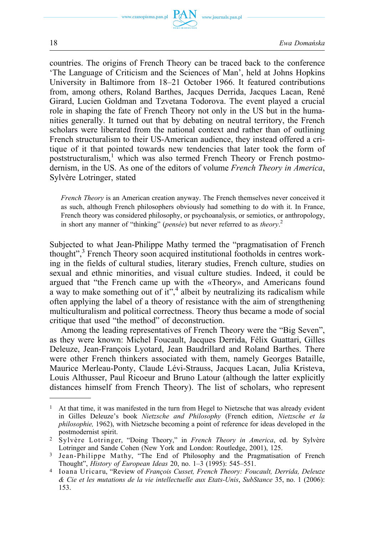www.journals.pan.pl



countries. The origins of French Theory can be traced back to the conference 'The Language of Criticism and the Sciences of Man', held at Johns Hopkins University in Baltimore from 18–21 October 1966. It featured contributions from, among others, Roland Barthes, Jacques Derrida, Jacques Lacan, René Girard, Lucien Goldman and Tzvetana Todorova. The event played a crucial role in shaping the fate of French Theory not only in the US but in the humanities generally. It turned out that by debating on neutral territory, the French scholars were liberated from the national context and rather than of outlining French structuralism to their US‑American audience, they instead offered a critique of it that pointed towards new tendencies that later took the form of poststructuralism,<sup>1</sup> which was also termed French Theory or French postmodernism, in the US. As one of the editors of volume *French Theory in America*, Sylvère Lotringer, stated

*French Theory* is an American creation anyway. The French themselves never conceived it as such, although French philosophers obviously had something to do with it. In France, French theory was considered philosophy, or psychoanalysis, or semiotics, or anthropology, in short any manner of "thinking" (*pensée*) but never referred to as *theory*. 2

Subjected to what Jean-Philippe Mathy termed the "pragmatisation of French thought",<sup>3</sup> French Theory soon acquired institutional footholds in centres working in the fields of cultural studies, literary studies, French culture, studies on sexual and ethnic minorities, and visual culture studies. Indeed, it could be argued that "the French came up with the «Theory», and Americans found a way to make something out of  $\hat{t}t^*$ ,<sup>4</sup> albeit by neutralizing its radicalism while often applying the label of a theory of resistance with the aim of strengthening multiculturalism and political correctness. Theory thus became a mode of social critique that used "the method" of deconstruction.

Among the leading representatives of French Theory were the "Big Seven", as they were known: Michel Foucault, Jacques Derrida, Félix Guattari, Gilles Deleuze, Jean‑François Lyotard, Jean Baudrillard and Roland Barthes. There were other French thinkers associated with them, namely Georges Bataille, Maurice Merleau‑Ponty, Claude Lévi‑Strauss, Jacques Lacan, Julia Kristeva, Louis Althusser, Paul Ricoeur and Bruno Latour (although the latter explicitly distances himself from French Theory). The list of scholars, who represent

 $<sup>1</sup>$  At that time, it was manifested in the turn from Hegel to Nietzsche that was already evident</sup> in Gilles Deleuze's book *Nietzsche and Philosophy* (French edition, *Nietzsche et la philosophie,* 1962), with Nietzsche becoming a point of reference for ideas developed in the postmodernist spirit.

<sup>2</sup>Sylvère Lotringer, "Doing Theory," in *French Theory in America*, ed. by Sylvère Lotringer and Sande Cohen (New York and London: Routledge, 2001), 125.

<sup>3</sup> Jean-Philippe Mathy, "The End of Philosophy and the Pragmatisation of French Thought", *History of European Ideas* 20, no. 1–3 (1995): 545–551.

<sup>4</sup>Ioana Uricaru, "Review of *François Cusset, French Theory: Foucault, Derrida, Deleuze & Cie et les mutations de la vie intellectuelle aux Etats-Unis*, *SubStance* 35, no. 1 (2006): 153.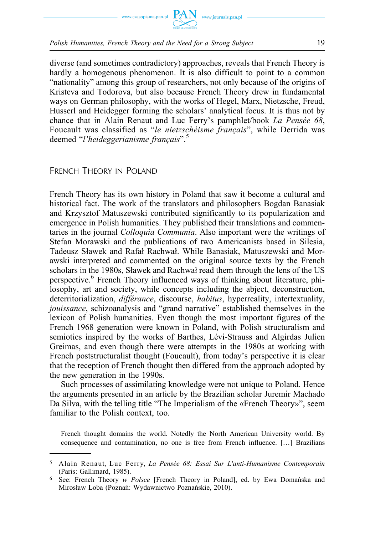

diverse (and sometimes contradictory) approaches, reveals that French Theory is hardly a homogenous phenomenon. It is also difficult to point to a common "nationality" among this group of researchers, not only because of the origins of Kristeva and Todorova, but also because French Theory drew in fundamental ways on German philosophy, with the works of Hegel, Marx, Nietzsche, Freud, Husserl and Heidegger forming the scholars' analytical focus. It is thus not by chance that in Alain Renaut and Luc Ferry's pamphlet/book *La Pensée 68*, Foucault was classified as "*le nietzschéisme français*", while Derrida was deemed "*l'heideggerianisme français*".<sup>5</sup>

## FRENCH THEORY IN POLAND

French Theory has its own history in Poland that saw it become a cultural and historical fact. The work of the translators and philosophers Bogdan Banasiak and Krzysztof Matuszewski contributed significantly to its popularization and emergence in Polish humanities. They published their translations and commentaries in the journal *Colloquia Communia*. Also important were the writings of Stefan Morawski and the publications of two Americanists based in Silesia, Tadeusz Sławek and Rafał Rachwał. While Banasiak, Matuszewski and Morawski interpreted and commented on the original source texts by the French scholars in the 1980s, Sławek and Rachwał read them through the lens of the US perspective.<sup>6</sup> French Theory influenced ways of thinking about literature, philosophy, art and society, while concepts including the abject, deconstruction, deterritorialization, *différance*, discourse, *habitus*, hyperreality, intertextuality, *jouissance*, schizoanalysis and "grand narrative" established themselves in the lexicon of Polish humanities. Even though the most important figures of the French 1968 generation were known in Poland, with Polish structuralism and semiotics inspired by the works of Barthes, Lévi-Strauss and Algirdas Julien Greimas, and even though there were attempts in the 1980s at working with French poststructuralist thought (Foucault), from today's perspective it is clear that the reception of French thought then differed from the approach adopted by the new generation in the 1990s.

Such processes of assimilating knowledge were not unique to Poland. Hence the arguments presented in an article by the Brazilian scholar Juremir Machado Da Silva, with the telling title "The Imperialism of the «French Theory»", seem familiar to the Polish context, too.

French thought domains the world. Notedly the North American University world. By consequence and contamination, no one is free from French influence. […] Brazilians

<sup>5</sup>Alain Renaut, Luc Ferry, *La Pensée 68: Essai Sur L'anti-Humanisme Contemporain*  (Paris: Gallimard, 1985).

<sup>6</sup> See: French Theory *w Polsce* [French Theory in Poland], ed. by Ewa Domańska and Mirosław Loba (Poznań: Wydawnictwo Poznańskie, 2010).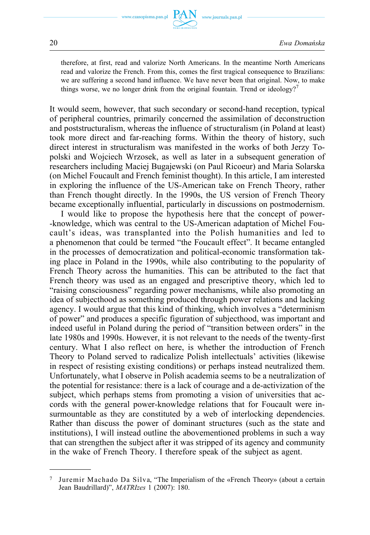www.journals.pan.pl

therefore, at first, read and valorize North Americans. In the meantime North Americans read and valorize the French. From this, comes the first tragical consequence to Brazilians: we are suffering a second hand influence. We have never been that original. Now, to make things worse, we no longer drink from the original fountain. Trend or ideology?<sup>7</sup>

It would seem, however, that such secondary or second-hand reception, typical of peripheral countries, primarily concerned the assimilation of deconstruction and poststructuralism, whereas the influence of structuralism (in Poland at least) took more direct and far‑reaching forms. Within the theory of history, such direct interest in structuralism was manifested in the works of both Jerzy Topolski and Wojciech Wrzosek, as well as later in a subsequent generation of researchers including Maciej Bugajewski (on Paul Ricoeur) and Maria Solarska (on Michel Foucault and French feminist thought). In this article, I am interested in exploring the influence of the US‑American take on French Theory, rather than French thought directly. In the 1990s, the US version of French Theory became exceptionally influential, particularly in discussions on postmodernism.

I would like to propose the hypothesis here that the concept of power- ‑knowledge, which was central to the US‑American adaptation of Michel Foucault's ideas, was transplanted into the Polish humanities and led to a phenomenon that could be termed "the Foucault effect". It became entangled in the processes of democratization and political–economic transformation taking place in Poland in the 1990s, while also contributing to the popularity of French Theory across the humanities. This can be attributed to the fact that French theory was used as an engaged and prescriptive theory, which led to "raising consciousness" regarding power mechanisms, while also promoting an idea of subjecthood as something produced through power relations and lacking agency. I would argue that this kind of thinking, which involves a "determinism of power" and produces a specific figuration of subjecthood, was important and indeed useful in Poland during the period of "transition between orders" in the late 1980s and 1990s. However, it is not relevant to the needs of the twenty‑first century. What I also reflect on here, is whether the introduction of French Theory to Poland served to radicalize Polish intellectuals' activities (likewise in respect of resisting existing conditions) or perhaps instead neutralized them. Unfortunately, what I observe in Polish academia seems to be a neutralization of the potential for resistance: there is a lack of courage and a de‑activization of the subject, which perhaps stems from promoting a vision of universities that accords with the general power-knowledge relations that for Foucault were insurmountable as they are constituted by a web of interlocking dependencies. Rather than discuss the power of dominant structures (such as the state and institutions), I will instead outline the abovementioned problems in such a way that can strengthen the subject after it was stripped of its agency and community in the wake of French Theory. I therefore speak of the subject as agent.

<sup>7</sup> Juremir Machado Da Silva, "The Imperialism of the «French Theory» (about a certain Jean Baudrillard)", *MATRIzes* 1 (2007): 180.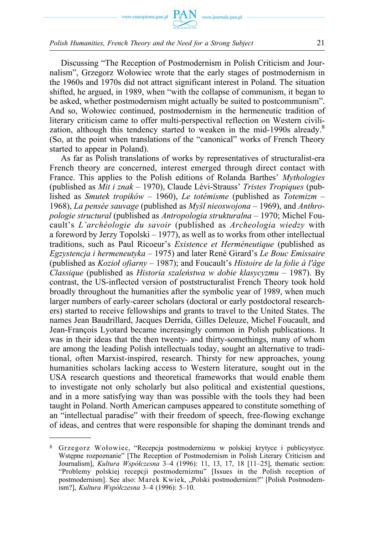

Discussing "The Reception of Postmodernism in Polish Criticism and Journalism", Grzegorz Wołowiec wrote that the early stages of postmodernism in the 1960s and 1970s did not attract significant interest in Poland. The situation shifted, he argued, in 1989, when "with the collapse of communism, it began to be asked, whether postmodernism might actually be suited to postcommunism". And so, Wołowiec continued, postmodernism in the hermeneutic tradition of literary criticism came to offer multi-perspectival reflection on Western civilization, although this tendency started to weaken in the mid-1990s already.<sup>8</sup> (So, at the point when translations of the "canonical" works of French Theory started to appear in Poland).

As far as Polish translations of works by representatives of structuralist-era French theory are concerned, interest emerged through direct contact with France. This applies to the Polish editions of Rolanda Barthes' *Mythologies*  (published as *Mit i znak* – 1970), Claude Lévi‑Strauss' *Tristes Tropiques* (published as *Smutek tropików* – 1960), *Le totémisme* (published as *Totemizm* – 1968), *La pensée sauvage* (published as *Myśl nieoswojona* – 1969), and *Anthropologie structural* (published as *Antropologia strukturalna* – 1970; Michel Foucault's *L'archéologie du savoir* (published as *Archeologia wiedzy* with a foreword by Jerzy Topolski – 1977), as well as to works from other intellectual traditions, such as Paul Ricoeur's *Existence et Herméneutique* (published as *Egzystencja i hermeneutyka* – 1975) and later René Girard's *Le Bouc Emissaire*  (published as *Kozioł ofiarny* – 1987); and Foucault's *Histoire de la folie à l'âge Classique* (published as *Historia szaleństwa w dobie klasycyzmu* – 1987). By contrast, the US‑inflected version of poststructuralist French Theory took hold broadly throughout the humanities after the symbolic year of 1989, when much larger numbers of early‑career scholars (doctoral or early postdoctoral researchers) started to receive fellowships and grants to travel to the United States. The names Jean Baudrillard, Jacques Derrida, Gilles Deleuze, Michel Foucault, and Jean-François Lyotard became increasingly common in Polish publications. It was in their ideas that the then twenty– and thirty-somethings, many of whom are among the leading Polish intellectuals today, sought an alternative to traditional, often Marxist‑inspired, research. Thirsty for new approaches, young humanities scholars lacking access to Western literature, sought out in the USA research questions and theoretical frameworks that would enable them to investigate not only scholarly but also political and existential questions, and in a more satisfying way than was possible with the tools they had been taught in Poland. North American campuses appeared to constitute something of an "intellectual paradise" with their freedom of speech, free‑flowing exchange of ideas, and centres that were responsible for shaping the dominant trends and

<sup>8</sup> Grzegorz Wołowiec, "Recepcja postmodernizmu w polskiej krytyce i publicystyce. Wstępne rozpoznanie" [The Reception of Postmodernism in Polish Literary Criticism and Journalism], *Kultura Współczesna* 3–4 (1996): 11, 13, 17, 18 [11–25], thematic section: "Problemy polskiej recepcji postmodernizmu" [Issues in the Polish reception of postmodernism]. See also: Marek Kwiek, "Polski postmodernizm?" [Polish Postmodernism?], *Kultura Współczesna* 3–4 (1996): 5–10.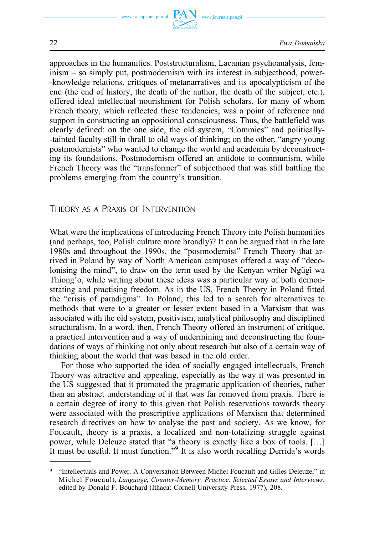

approaches in the humanities. Poststructuralism, Lacanian psychoanalysis, feminism – so simply put, postmodernism with its interest in subjecthood, power- ‑knowledge relations, critiques of metanarratives and its apocalypticism of the end (the end of history, the death of the author, the death of the subject, etc.), offered ideal intellectual nourishment for Polish scholars, for many of whom French theory, which reflected these tendencies, was a point of reference and support in constructing an oppositional consciousness. Thus, the battlefield was clearly defined: on the one side, the old system, "Commies" and politically- ‑tainted faculty still in thrall to old ways of thinking; on the other, "angry young postmodernists" who wanted to change the world and academia by deconstructing its foundations. Postmodernism offered an antidote to communism, while French Theory was the "transformer" of subjecthood that was still battling the problems emerging from the country's transition.

## THEORY AS A PRAXIS OF INTERVENTION

What were the implications of introducing French Theory into Polish humanities (and perhaps, too, Polish culture more broadly)? It can be argued that in the late 1980s and throughout the 1990s, the "postmodernist" French Theory that arrived in Poland by way of North American campuses offered a way of "decolonising the mind", to draw on the term used by the Kenyan writer Ngũgĩ wa Thiong'o, while writing about these ideas was a particular way of both demonstrating and practising freedom. As in the US, French Theory in Poland fitted the "crisis of paradigms". In Poland, this led to a search for alternatives to methods that were to a greater or lesser extent based in a Marxism that was associated with the old system, positivism, analytical philosophy and disciplined structuralism. In a word, then, French Theory offered an instrument of critique, a practical intervention and a way of undermining and deconstructing the foundations of ways of thinking not only about research but also of a certain way of thinking about the world that was based in the old order.

For those who supported the idea of socially engaged intellectuals, French Theory was attractive and appealing, especially as the way it was presented in the US suggested that it promoted the pragmatic application of theories, rather than an abstract understanding of it that was far removed from praxis. There is a certain degree of irony to this given that Polish reservations towards theory were associated with the prescriptive applications of Marxism that determined research directives on how to analyse the past and society. As we know, for Foucault, theory is a praxis, a localized and non-totalizing struggle against power, while Deleuze stated that "a theory is exactly like a box of tools. […] It must be useful. It must function."9 It is also worth recalling Derrida's words

<sup>9</sup> "Intellectuals and Power. A Conversation Between Michel Foucault and Gilles Deleuze," in Michel Foucault, *Language, Counter-Memory, Practice. Selected Essays and Interviews*, edited by Donald F. Bouchard (Ithaca: Cornell University Press, 1977), 208.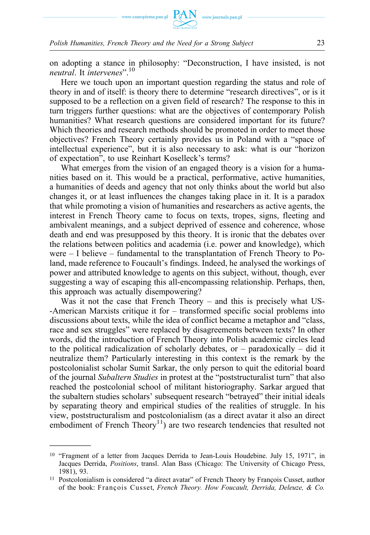

on adopting a stance in philosophy: "Deconstruction, I have insisted, is not *neutral*. It *intervenes*".<sup>10</sup>

Here we touch upon an important question regarding the status and role of theory in and of itself: is theory there to determine "research directives", or is it supposed to be a reflection on a given field of research? The response to this in turn triggers further questions: what are the objectives of contemporary Polish humanities? What research questions are considered important for its future? Which theories and research methods should be promoted in order to meet those objectives? French Theory certainly provides us in Poland with a "space of intellectual experience", but it is also necessary to ask: what is our "horizon of expectation", to use Reinhart Koselleck's terms?

What emerges from the vision of an engaged theory is a vision for a humanities based on it. This would be a practical, performative, active humanities, a humanities of deeds and agency that not only thinks about the world but also changes it, or at least influences the changes taking place in it. It is a paradox that while promoting a vision of humanities and researchers as active agents, the interest in French Theory came to focus on texts, tropes, signs, fleeting and ambivalent meanings, and a subject deprived of essence and coherence, whose death and end was presupposed by this theory. It is ironic that the debates over the relations between politics and academia (i.e. power and knowledge), which were  $-1$  believe – fundamental to the transplantation of French Theory to Poland, made reference to Foucault's findings. Indeed, he analysed the workings of power and attributed knowledge to agents on this subject, without, though, ever suggesting a way of escaping this all‑encompassing relationship. Perhaps, then, this approach was actually disempowering?

Was it not the case that French Theory – and this is precisely what US- ‑American Marxists critique it for – transformed specific social problems into discussions about texts, while the idea of conflict became a metaphor and "class, race and sex struggles" were replaced by disagreements between texts? In other words, did the introduction of French Theory into Polish academic circles lead to the political radicalization of scholarly debates, or – paradoxically – did it neutralize them? Particularly interesting in this context is the remark by the postcolonialist scholar Sumit Sarkar, the only person to quit the editorial board of the journal *Subaltern Studies* in protest at the "poststructuralist turn" that also reached the postcolonial school of militant historiography. Sarkar argued that the subaltern studies scholars' subsequent research "betrayed" their initial ideals by separating theory and empirical studies of the realities of struggle. In his view, poststructuralism and postcolonialism (as a direct avatar it also an direct embodiment of French Theory<sup>11</sup>) are two research tendencies that resulted not

<sup>10</sup> "Fragment of a letter from Jacques Derrida to Jean-Louis Houdebine. July 15, 1971", in Jacques Derrida, *Positions*, transl. Alan Bass (Chicago: The University of Chicago Press, 1981), 93.

<sup>11</sup> Postcolonialism is considered "a direct avatar" of French Theory by François Cusset, author of the book: François Cusset, *French Theory. How Foucault, Derrida, Deleuze, & Co.*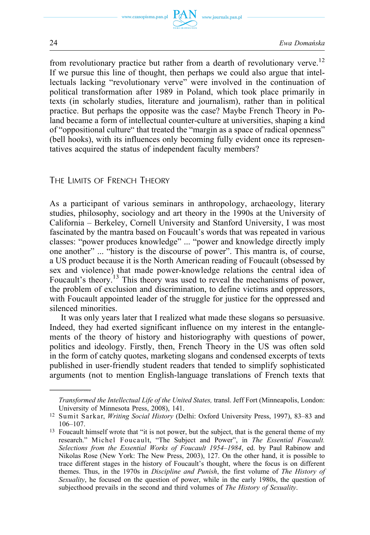



from revolutionary practice but rather from a dearth of revolutionary verve.<sup>12</sup> If we pursue this line of thought, then perhaps we could also argue that intellectuals lacking "revolutionary verve" were involved in the continuation of political transformation after 1989 in Poland, which took place primarily in texts (in scholarly studies, literature and journalism), rather than in political practice. But perhaps the opposite was the case? Maybe French Theory in Poland became a form of intellectual counter-culture at universities, shaping a kind of "oppositional culture" that treated the "margin as a space of radical openness" (bell hooks), with its influences only becoming fully evident once its representatives acquired the status of independent faculty members?

# THE LIMITS OF FRENCH THEORY

As a participant of various seminars in anthropology, archaeology, literary studies, philosophy, sociology and art theory in the 1990s at the University of California – Berkeley, Cornell University and Stanford University, I was most fascinated by the mantra based on Foucault's words that was repeated in various classes: "power produces knowledge" ... "power and knowledge directly imply one another" ... "history is the discourse of power". This mantra is, of course, a US product because it is the North American reading of Foucault (obsessed by sex and violence) that made power-knowledge relations the central idea of Foucault's theory.<sup>13</sup> This theory was used to reveal the mechanisms of power, the problem of exclusion and discrimination, to define victims and oppressors, with Foucault appointed leader of the struggle for justice for the oppressed and silenced minorities.

It was only years later that I realized what made these slogans so persuasive. Indeed, they had exerted significant influence on my interest in the entanglements of the theory of history and historiography with questions of power, politics and ideology. Firstly, then, French Theory in the US was often sold in the form of catchy quotes, marketing slogans and condensed excerpts of texts published in user‑friendly student readers that tended to simplify sophisticated arguments (not to mention English-language translations of French texts that

*Transformed the Intellectual Life of the United States,* transl. Jeff Fort (Minneapolis, London: University of Minnesota Press, 2008), 141.

<sup>12</sup> Sumit Sarkar, *Writing Social History* (Delhi: Oxford University Press, 1997), 83–83 and 106–107.

<sup>&</sup>lt;sup>13</sup> Foucault himself wrote that "it is not power, but the subject, that is the general theme of my research." Michel Foucault, "The Subject and Power", in *The Essential Foucault. Selections from the Essential Works of Foucault 1954–1984*, ed. by Paul Rabinow and Nikolas Rose (New York: The New Press, 2003), 127. On the other hand, it is possible to trace different stages in the history of Foucault's thought, where the focus is on different themes. Thus, in the 1970s in *Discipline and Punish*, the first volume of *The History of Sexuality*, he focused on the question of power, while in the early 1980s, the question of subjecthood prevails in the second and third volumes of *The History of Sexuality*.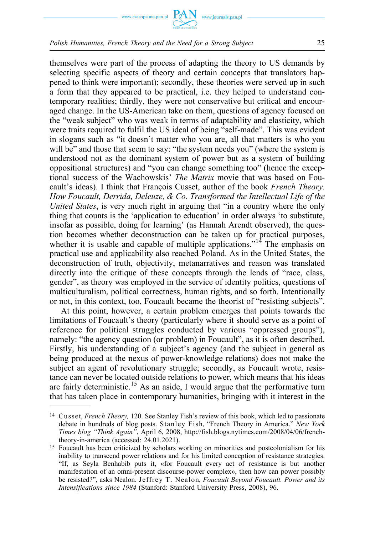

themselves were part of the process of adapting the theory to US demands by selecting specific aspects of theory and certain concepts that translators happened to think were important); secondly, these theories were served up in such a form that they appeared to be practical, i.e. they helped to understand contemporary realities; thirdly, they were not conservative but critical and encouraged change. In the US‑American take on them, questions of agency focused on the "weak subject" who was weak in terms of adaptability and elasticity, which were traits required to fulfil the US ideal of being "self-made". This was evident in slogans such as "it doesn't matter who you are, all that matters is who you will be" and those that seem to say: "the system needs you" (where the system is understood not as the dominant system of power but as a system of building oppositional structures) and "you can change something too" (hence the exceptional success of the Wachowskis' *The Matrix* movie that was based on Foucault's ideas). I think that François Cusset, author of the book *French Theory. How Foucault, Derrida, Deleuze, & Co. Transformed the Intellectual Life of the United States*, is very much right in arguing that "in a country where the only thing that counts is the 'application to education' in order always 'to substitute, insofar as possible, doing for learning' (as Hannah Arendt observed), the question becomes whether deconstruction can be taken up for practical purposes, whether it is usable and capable of multiple applications."<sup>14</sup> The emphasis on practical use and applicability also reached Poland. As in the United States, the deconstruction of truth, objectivity, metanarratives and reason was translated directly into the critique of these concepts through the lends of "race, class, gender", as theory was employed in the service of identity politics, questions of multiculturalism, political correctness, human rights, and so forth. Intentionally or not, in this context, too, Foucault became the theorist of "resisting subjects".

At this point, however, a certain problem emerges that points towards the limitations of Foucault's theory (particularly where it should serve as a point of reference for political struggles conducted by various "oppressed groups"), namely: "the agency question (or problem) in Foucault", as it is often described. Firstly, his understanding of a subject's agency (and the subject in general as being produced at the nexus of power-knowledge relations) does not make the subject an agent of revolutionary struggle; secondly, as Foucault wrote, resistance can never be located outside relations to power, which means that his ideas are fairly deterministic.<sup>15</sup> As an aside, I would argue that the performative turn that has taken place in contemporary humanities, bringing with it interest in the

<sup>14</sup> Cusset, *French Theory,* 120. See Stanley Fish's review of this book, which led to passionate debate in hundreds of blog posts. Stanley Fish, "French Theory in America." *New York Times blog "Think Again"*, April 6, 2008, [http://fish.blogs.nytimes.com/2008/04/06/french](http://fish.blogs.nytimes.com/2008/04/06/french-theory-in-america)[theory-in-america](http://fish.blogs.nytimes.com/2008/04/06/french-theory-in-america) (accessed: 24.01.2021).

<sup>15</sup> Foucault has been criticized by scholars working on minorities and postcolonialism for his inability to transcend power relations and for his limited conception of resistance strategies. "If, as Seyla Benhabib puts it, «for Foucault every act of resistance is but another manifestation of an omni-present discourse-power complex», then how can power possibly be resisted?", asks Nealon. Jeffrey T. Nealon, *Foucault Beyond Foucault. Power and its Intensifications since 1984* (Stanford: Stanford University Press, 2008), 96.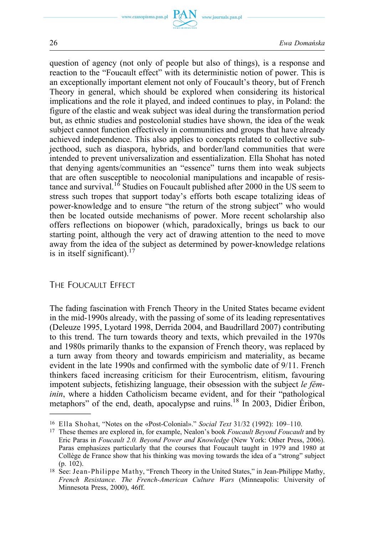

26 *Ewa Domańska* 

question of agency (not only of people but also of things), is a response and reaction to the "Foucault effect" with its deterministic notion of power. This is an exceptionally important element not only of Foucault's theory, but of French Theory in general, which should be explored when considering its historical implications and the role it played, and indeed continues to play, in Poland: the figure of the elastic and weak subject was ideal during the transformation period but, as ethnic studies and postcolonial studies have shown, the idea of the weak subject cannot function effectively in communities and groups that have already achieved independence. This also applies to concepts related to collective subjecthood, such as diaspora, hybrids, and border/land communities that were intended to prevent universalization and essentialization. Ella Shohat has noted that denying agents/communities an "essence" turns them into weak subjects that are often susceptible to neocolonial manipulations and incapable of resistance and survival.<sup>16</sup> Studies on Foucault published after 2000 in the US seem to stress such tropes that support today's efforts both escape totalizing ideas of power-knowledge and to ensure "the return of the strong subject" who would then be located outside mechanisms of power. More recent scholarship also offers reflections on biopower (which, paradoxically, brings us back to our starting point, although the very act of drawing attention to the need to move away from the idea of the subject as determined by power-knowledge relations is in itself significant). $17$ 

# THE FOUCAULT EFFECT

The fading fascination with French Theory in the United States became evident in the mid‑1990s already, with the passing of some of its leading representatives (Deleuze 1995, Lyotard 1998, Derrida 2004, and Baudrillard 2007) contributing to this trend. The turn towards theory and texts, which prevailed in the 1970s and 1980s primarily thanks to the expansion of French theory, was replaced by a turn away from theory and towards empiricism and materiality, as became evident in the late 1990s and confirmed with the symbolic date of 9/11. French thinkers faced increasing criticism for their Eurocentrism, elitism, favouring impotent subjects, fetishizing language, their obsession with the subject *le féminin*, where a hidden Catholicism became evident, and for their "pathological metaphors" of the end, death, apocalypse and ruins.<sup>18</sup> In 2003, Didier Éribon,

<sup>16</sup> Ella Shohat, "Notes on the «Post-Colonial»." *Social Text* 31/32 (1992): 109–110.

<sup>17</sup>These themes are explored in, for example, Nealon's book *Foucault Beyond Foucault* and by Eric Paras in *Foucault 2.0. Beyond Power and Knowledge* (New York: Other Press, 2006). Paras emphasizes particularly that the courses that Foucault taught in 1979 and 1980 at Collège de France show that his thinking was moving towards the idea of a "strong" subject (p. 102).

<sup>18</sup> See: Jean-Philippe Mathy, "French Theory in the United States," in Jean-Philippe Mathy, *French Resistance. The French-American Culture Wars* (Minneapolis: University of Minnesota Press, 2000), 46ff.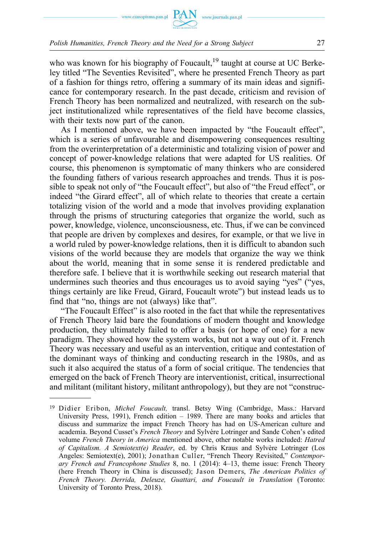

who was known for his biography of Foucault, $19$  taught at course at UC Berkeley titled "The Seventies Revisited", where he presented French Theory as part of a fashion for things retro, offering a summary of its main ideas and significance for contemporary research. In the past decade, criticism and revision of French Theory has been normalized and neutralized, with research on the subject institutionalized while representatives of the field have become classics, with their texts now part of the canon.

As I mentioned above, we have been impacted by "the Foucault effect", which is a series of unfavourable and disempowering consequences resulting from the overinterpretation of a deterministic and totalizing vision of power and concept of power‑knowledge relations that were adapted for US realities. Of course, this phenomenon is symptomatic of many thinkers who are considered the founding fathers of various research approaches and trends. Thus it is possible to speak not only of "the Foucault effect", but also of "the Freud effect", or indeed "the Girard effect", all of which relate to theories that create a certain totalizing vision of the world and a mode that involves providing explanation through the prisms of structuring categories that organize the world, such as power, knowledge, violence, unconsciousness, etc. Thus, if we can be convinced that people are driven by complexes and desires, for example, or that we live in a world ruled by power-knowledge relations, then it is difficult to abandon such visions of the world because they are models that organize the way we think about the world, meaning that in some sense it is rendered predictable and therefore safe. I believe that it is worthwhile seeking out research material that undermines such theories and thus encourages us to avoid saying "yes" ("yes, things certainly are like Freud, Girard, Foucault wrote") but instead leads us to find that "no, things are not (always) like that".

"The Foucault Effect" is also rooted in the fact that while the representatives of French Theory laid bare the foundations of modern thought and knowledge production, they ultimately failed to offer a basis (or hope of one) for a new paradigm. They showed how the system works, but not a way out of it. French Theory was necessary and useful as an intervention, critique and contestation of the dominant ways of thinking and conducting research in the 1980s, and as such it also acquired the status of a form of social critique. The tendencies that emerged on the back of French Theory are interventionist, critical, insurrectional and militant (militant history, militant anthropology), but they are not "construc-

<sup>&</sup>lt;sup>19</sup> Didier Eribon, *Michel Foucault*, transl. Betsy Wing (Cambridge, Mass.: Harvard University Press, 1991), French edition – 1989. There are many books and articles that discuss and summarize the impact French Theory has had on US-American culture and academia. Beyond Cusset's *French Theory* and Sylvère Lotringer and Sande Cohen's edited volume *French Theory in America* mentioned above, other notable works included: *Hatred of Capitalism. A Semiotext(e) Reader*, ed. by Chris Kraus and Sylvère Lotringer (Los Angeles: Semiotext(e), 2001); Jonathan Culler, "French Theory Revisited," *Contemporary French and Francophone Studies* 8, no. 1 (2014): 4–13, theme issue: French Theory (here French Theory in China is discussed); Jason Demers, *The American Politics of French Theory. Derrida, Deleuze, Guattari, and Foucault in Translation* (Toronto: University of Toronto Press, 2018).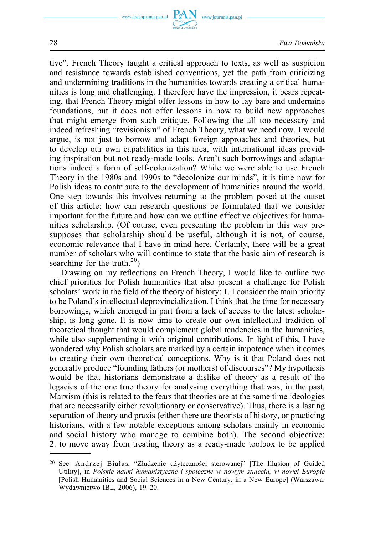

28 *Ewa Domańska* 

tive". French Theory taught a critical approach to texts, as well as suspicion and resistance towards established conventions, yet the path from criticizing and undermining traditions in the humanities towards creating a critical humanities is long and challenging. I therefore have the impression, it bears repeating, that French Theory might offer lessons in how to lay bare and undermine foundations, but it does not offer lessons in how to build new approaches that might emerge from such critique. Following the all too necessary and indeed refreshing "revisionism" of French Theory, what we need now, I would argue, is not just to borrow and adapt foreign approaches and theories, but to develop our own capabilities in this area, with international ideas providing inspiration but not ready-made tools. Aren't such borrowings and adaptations indeed a form of self‑colonization? While we were able to use French Theory in the 1980s and 1990s to "decolonize our minds", it is time now for Polish ideas to contribute to the development of humanities around the world. One step towards this involves returning to the problem posed at the outset of this article: how can research questions be formulated that we consider important for the future and how can we outline effective objectives for humanities scholarship. (Of course, even presenting the problem in this way presupposes that scholarship should be useful, although it is not, of course, economic relevance that I have in mind here. Certainly, there will be a great number of scholars who will continue to state that the basic aim of research is searching for the truth.<sup>20</sup>)

Drawing on my reflections on French Theory, I would like to outline two chief priorities for Polish humanities that also present a challenge for Polish scholars' work in the field of the theory of history: 1. I consider the main priority to be Poland's intellectual deprovincialization. I think that the time for necessary borrowings, which emerged in part from a lack of access to the latest scholarship, is long gone. It is now time to create our own intellectual tradition of theoretical thought that would complement global tendencies in the humanities, while also supplementing it with original contributions. In light of this, I have wondered why Polish scholars are marked by a certain impotence when it comes to creating their own theoretical conceptions. Why is it that Poland does not generally produce "founding fathers (or mothers) of discourses"? My hypothesis would be that historians demonstrate a dislike of theory as a result of the legacies of the one true theory for analysing everything that was, in the past, Marxism (this is related to the fears that theories are at the same time ideologies that are necessarily either revolutionary or conservative). Thus, there is a lasting separation of theory and praxis (either there are theorists of history, or practicing historians, with a few notable exceptions among scholars mainly in economic and social history who manage to combine both). The second objective: 2. to move away from treating theory as a ready‑made toolbox to be applied

<sup>20</sup> See: Andrzej Białas, "Złudzenie użyteczności sterowanej" [The Illusion of Guided Utility], in *Polskie nauki humanistyczne i społeczne w nowym stuleciu, w nowej Europie*  [Polish Humanities and Social Sciences in a New Century, in a New Europe] (Warszawa: Wydawnictwo IBL, 2006), 19–20.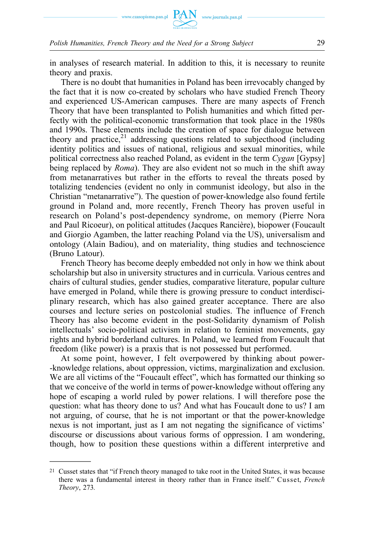

in analyses of research material. In addition to this, it is necessary to reunite theory and praxis.

There is no doubt that humanities in Poland has been irrevocably changed by the fact that it is now co-created by scholars who have studied French Theory and experienced US‑American campuses. There are many aspects of French Theory that have been transplanted to Polish humanities and which fitted perfectly with the political‑economic transformation that took place in the 1980s and 1990s. These elements include the creation of space for dialogue between theory and practice, $21$  addressing questions related to subjecthood (including identity politics and issues of national, religious and sexual minorities, while political correctness also reached Poland, as evident in the term *Cygan* [Gypsy] being replaced by *Roma*). They are also evident not so much in the shift away from metanarratives but rather in the efforts to reveal the threats posed by totalizing tendencies (evident no only in communist ideology, but also in the Christian "metanarrative"). The question of power‑knowledge also found fertile ground in Poland and, more recently, French Theory has proven useful in research on Poland's post-dependency syndrome, on memory (Pierre Nora and Paul Ricoeur), on political attitudes (Jacques Rancière), biopower (Foucault and Giorgio Agamben, the latter reaching Poland via the US), universalism and ontology (Alain Badiou), and on materiality, thing studies and technoscience (Bruno Latour).

French Theory has become deeply embedded not only in how we think about scholarship but also in university structures and in curricula. Various centres and chairs of cultural studies, gender studies, comparative literature, popular culture have emerged in Poland, while there is growing pressure to conduct interdisciplinary research, which has also gained greater acceptance. There are also courses and lecture series on postcolonial studies. The influence of French Theory has also become evident in the post‑Solidarity dynamism of Polish intellectuals' socio-political activism in relation to feminist movements, gay rights and hybrid borderland cultures. In Poland, we learned from Foucault that freedom (like power) is a praxis that is not possessed but performed.

At some point, however, I felt overpowered by thinking about power- ‑knowledge relations, about oppression, victims, marginalization and exclusion. We are all victims of the "Foucault effect", which has formatted our thinking so that we conceive of the world in terms of power‑knowledge without offering any hope of escaping a world ruled by power relations. I will therefore pose the question: what has theory done to us? And what has Foucault done to us? I am not arguing, of course, that he is not important or that the power-knowledge nexus is not important, just as I am not negating the significance of victims' discourse or discussions about various forms of oppression. I am wondering, though, how to position these questions within a different interpretive and

<sup>&</sup>lt;sup>21</sup> Cusset states that "if French theory managed to take root in the United States, it was because there was a fundamental interest in theory rather than in France itself." Cusset, *French Theory*, 273*.*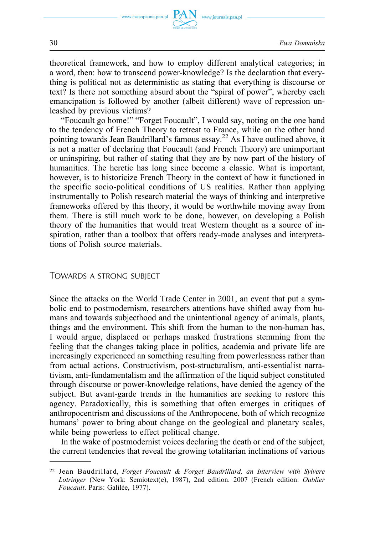www.journals.pan.pl



theoretical framework, and how to employ different analytical categories; in a word, then: how to transcend power-knowledge? Is the declaration that everything is political not as deterministic as stating that everything is discourse or text? Is there not something absurd about the "spiral of power", whereby each emancipation is followed by another (albeit different) wave of repression unleashed by previous victims?

"Foucault go home!" "Forget Foucault", I would say, noting on the one hand to the tendency of French Theory to retreat to France, while on the other hand pointing towards Jean Baudrillard's famous essay.<sup>22</sup> As I have outlined above, it is not a matter of declaring that Foucault (and French Theory) are unimportant or uninspiring, but rather of stating that they are by now part of the history of humanities. The heretic has long since become a classic. What is important, however, is to historicize French Theory in the context of how it functioned in the specific socio‑political conditions of US realities. Rather than applying instrumentally to Polish research material the ways of thinking and interpretive frameworks offered by this theory, it would be worthwhile moving away from them. There is still much work to be done, however, on developing a Polish theory of the humanities that would treat Western thought as a source of inspiration, rather than a toolbox that offers ready-made analyses and interpretations of Polish source materials.

## TOWARDS A STRONG SUBJECT

Since the attacks on the World Trade Center in 2001, an event that put a symbolic end to postmodernism, researchers attentions have shifted away from humans and towards subjecthood and the unintentional agency of animals, plants, things and the environment. This shift from the human to the non-human has, I would argue, displaced or perhaps masked frustrations stemming from the feeling that the changes taking place in politics, academia and private life are increasingly experienced an something resulting from powerlessness rather than from actual actions. Constructivism, post-structuralism, anti-essentialist narrativism, anti‑fundamentalism and the affirmation of the liquid subject constituted through discourse or power‑knowledge relations, have denied the agency of the subject. But avant-garde trends in the humanities are seeking to restore this agency. Paradoxically, this is something that often emerges in critiques of anthropocentrism and discussions of the Anthropocene, both of which recognize humans' power to bring about change on the geological and planetary scales, while being powerless to effect political change.

In the wake of postmodernist voices declaring the death or end of the subject, the current tendencies that reveal the growing totalitarian inclinations of various

<sup>22</sup>Jean Baudrillard, *Forget Foucault & Forget Baudrillard, an Interview with Sylvere Lotringer* (New York: Semiotext(e), 1987), 2nd edition. 2007 (French edition: *Oublier Foucault*. Paris: Galilée, 1977).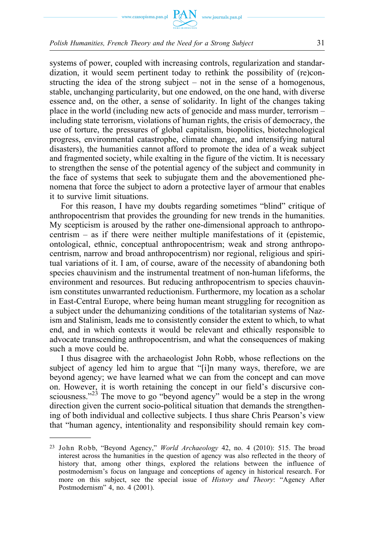

systems of power, coupled with increasing controls, regularization and standardization, it would seem pertinent today to rethink the possibility of (re)constructing the idea of the strong subject – not in the sense of a homogenous, stable, unchanging particularity, but one endowed, on the one hand, with diverse essence and, on the other, a sense of solidarity. In light of the changes taking place in the world (including new acts of genocide and mass murder, terrorism – including state terrorism, violations of human rights, the crisis of democracy, the use of torture, the pressures of global capitalism, biopolitics, biotechnological progress, environmental catastrophe, climate change, and intensifying natural disasters), the humanities cannot afford to promote the idea of a weak subject and fragmented society, while exalting in the figure of the victim. It is necessary to strengthen the sense of the potential agency of the subject and community in the face of systems that seek to subjugate them and the abovementioned phenomena that force the subject to adorn a protective layer of armour that enables it to survive limit situations.

For this reason, I have my doubts regarding sometimes "blind" critique of anthropocentrism that provides the grounding for new trends in the humanities. My scepticism is aroused by the rather one-dimensional approach to anthropocentrism – as if there were neither multiple manifestations of it (epistemic, ontological, ethnic, conceptual anthropocentrism; weak and strong anthropocentrism, narrow and broad anthropocentrism) nor regional, religious and spiritual variations of it. I am, of course, aware of the necessity of abandoning both species chauvinism and the instrumental treatment of non-human lifeforms, the environment and resources. But reducing anthropocentrism to species chauvinism constitutes unwarranted reductionism. Furthermore, my location as a scholar in East-Central Europe, where being human meant struggling for recognition as a subject under the dehumanizing conditions of the totalitarian systems of Nazism and Stalinism, leads me to consistently consider the extent to which, to what end, and in which contexts it would be relevant and ethically responsible to advocate transcending anthropocentrism, and what the consequences of making such a move could be.

I thus disagree with the archaeologist John Robb, whose reflections on the subject of agency led him to argue that "[i]n many ways, therefore, we are beyond agency; we have learned what we can from the concept and can move on. However, it is worth retaining the concept in our field's discursive consciousness."<sup>23</sup> The move to go "beyond agency" would be a step in the wrong direction given the current socio-political situation that demands the strengthening of both individual and collective subjects. I thus share Chris Pearson's view that "human agency, intentionality and responsibility should remain key com-

<sup>23</sup> John Robb, "Beyond Agency," *World Archaeology* 42, no. 4 (2010): 515. The broad interest across the humanities in the question of agency was also reflected in the theory of history that, among other things, explored the relations between the influence of postmodernism's focus on language and conceptions of agency in historical research. For more on this subject, see the special issue of *History and Theory*: "Agency After Postmodernism" 4, no. 4 (2001).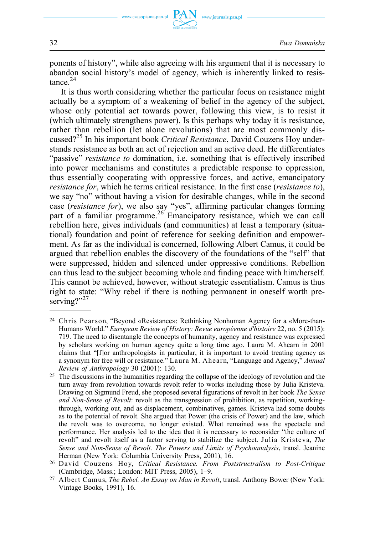ponents of history", while also agreeing with his argument that it is necessary to abandon social history's model of agency, which is inherently linked to resis $t$ ance $24$ 

It is thus worth considering whether the particular focus on resistance might actually be a symptom of a weakening of belief in the agency of the subject, whose only potential act towards power, following this view, is to resist it (which ultimately strengthens power). Is this perhaps why today it is resistance, rather than rebellion (let alone revolutions) that are most commonly discussed?25 In his important book *Critical Resistance*, David Couzens Hoy understands resistance as both an act of rejection and an active deed. He differentiates "passive" *resistance to* domination, i.e. something that is effectively inscribed into power mechanisms and constitutes a predictable response to oppression, thus essentially cooperating with oppressive forces, and active, emancipatory *resistance for*, which he terms critical resistance. In the first case (*resistance to*), we say "no" without having a vision for desirable changes, while in the second case (*resistance for*), we also say "yes", affirming particular changes forming part of a familiar programme.<sup>26</sup> Emancipatory resistance, which we can call rebellion here, gives individuals (and communities) at least a temporary (situational) foundation and point of reference for seeking definition and empowerment. As far as the individual is concerned, following Albert Camus, it could be argued that rebellion enables the discovery of the foundations of the "self" that were suppressed, hidden and silenced under oppressive conditions. Rebellion can thus lead to the subject becoming whole and finding peace with him/herself. This cannot be achieved, however, without strategic essentialism. Camus is thus right to state: "Why rebel if there is nothing permanent in oneself worth preserving?" $^{27}$ 

<sup>24</sup> Chris Pearson, "Beyond «Resistance»: Rethinking Nonhuman Agency for a «More-than-Human» World." *European Review of History: Revue européenne d'histoire* 22, no. 5 (2015): 719. The need to disentangle the concepts of humanity, agency and resistance was expressed by scholars working on human agency quite a long time ago. Laura M. Ahearn in 2001 claims that "[f]or anthropologists in particular, it is important to avoid treating agency as a synonym for free will or resistance." Laura M. Ahearn, "Language and Agency," *Annual Review of Anthropology* 30 (2001): 130.

<sup>&</sup>lt;sup>25</sup> The discussions in the humanities regarding the collapse of the ideology of revolution and the turn away from revolution towards revolt refer to works including those by Julia Kristeva. Drawing on Sigmund Freud, she proposed several figurations of revolt in her book *The Sense and Non-Sense of Revolt*: revolt as the transgression of prohibition, as repetition, workingthrough, working out, and as displacement, combinatives, games. Kristeva had some doubts as to the potential of revolt. She argued that Power (the crisis of Power) and the law, which the revolt was to overcome, no longer existed. What remained was the spectacle and performance. Her analysis led to the idea that it is necessary to reconsider "the culture of revolt" and revolt itself as a factor serving to stabilize the subject. Julia Kristeva, *The Sense and Non-Sense of Revolt. The Powers and Limits of Psychoanalysis*, transl. Jeanine Herman (New York: Columbia University Press, 2001), 16.

<sup>26</sup>David Couzens Hoy, *Critical Resistance. From Poststructralism to Post-Critique*  (Cambridge, Mass.; London: MIT Press, 2005), 1–9.

<sup>27</sup> Albert Camus, *The Rebel. An Essay on Man in Revolt*, transl. Anthony Bower (New York: Vintage Books, 1991), 16.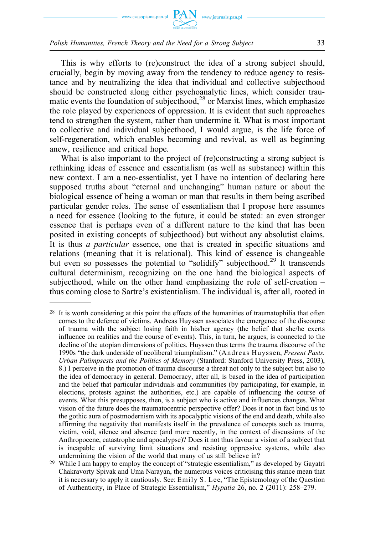

This is why efforts to (re)construct the idea of a strong subject should, crucially, begin by moving away from the tendency to reduce agency to resistance and by neutralizing the idea that individual and collective subjecthood should be constructed along either psychoanalytic lines, which consider traumatic events the foundation of subjecthood, $^{28}$  or Marxist lines, which emphasize the role played by experiences of oppression. It is evident that such approaches tend to strengthen the system, rather than undermine it. What is most important to collective and individual subjecthood, I would argue, is the life force of self-regeneration, which enables becoming and revival, as well as beginning anew, resilience and critical hope.

What is also important to the project of (re)constructing a strong subject is rethinking ideas of essence and essentialism (as well as substance) within this new context. I am a neo‑essentialist, yet I have no intention of declaring here supposed truths about "eternal and unchanging" human nature or about the biological essence of being a woman or man that results in them being ascribed particular gender roles. The sense of essentialism that I propose here assumes a need for essence (looking to the future, it could be stated: an even stronger essence that is perhaps even of a different nature to the kind that has been posited in existing concepts of subjecthood) but without any absolutist claims. It is thus *a particular* essence, one that is created in specific situations and relations (meaning that it is relational). This kind of essence is changeable but even so possesses the potential to "solidify" subjecthood.<sup>29</sup> It transcends cultural determinism, recognizing on the one hand the biological aspects of subjecthood, while on the other hand emphasizing the role of self-creation  $$ thus coming close to Sartre's existentialism. The individual is, after all, rooted in

<sup>&</sup>lt;sup>28</sup> It is worth considering at this point the effects of the humanities of traumatophilia that often comes to the defence of victims. Andreas Huyssen associates the emergence of the discourse of trauma with the subject losing faith in his/her agency (the belief that she/he exerts influence on realities and the course of events). This, in turn, he argues, is connected to the decline of the utopian dimensions of politics. Huyssen thus terms the trauma discourse of the 1990s "the dark underside of neoliberal triumphalism." (Andreas Huyssen, *Present Pasts. Urban Palimpsests and the Politics of Memory* (Stanford: Stanford University Press, 2003), 8.) I perceive in the promotion of trauma discourse a threat not only to the subject but also to the idea of democracy in general. Democracy, after all, is based in the idea of participation and the belief that particular individuals and communities (by participating, for example, in elections, protests against the authorities, etc.) are capable of influencing the course of events. What this presupposes, then, is a subject who is active and influences changes. What vision of the future does the traumatocentric perspective offer? Does it not in fact bind us to the gothic aura of postmodernism with its apocalyptic visions of the end and death, while also affirming the negativity that manifests itself in the prevalence of concepts such as trauma, victim, void, silence and absence (and more recently, in the context of discussions of the Anthropocene, catastrophe and apocalypse)? Does it not thus favour a vision of a subject that is incapable of surviving limit situations and resisting oppressive systems, while also undermining the vision of the world that many of us still believe in?

<sup>&</sup>lt;sup>29</sup> While I am happy to employ the concept of "strategic essentialism," as developed by Gayatri Chakravorty Spivak and Uma Narayan, the numerous voices criticising this stance mean that it is necessary to apply it cautiously. See: Emily S. Lee, "The Epistemology of the Question of Authenticity, in Place of Strategic Essentialism," *Hypatia* 26, no. 2 (2011): 258–279.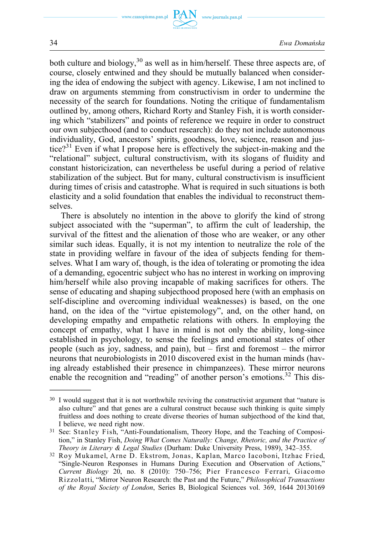

both culture and biology,  $30$  as well as in him/herself. These three aspects are, of course, closely entwined and they should be mutually balanced when considering the idea of endowing the subject with agency. Likewise, I am not inclined to draw on arguments stemming from constructivism in order to undermine the necessity of the search for foundations. Noting the critique of fundamentalism outlined by, among others, Richard Rorty and Stanley Fish, it is worth considering which "stabilizers" and points of reference we require in order to construct our own subjecthood (and to conduct research): do they not include autonomous individuality, God, ancestors' spirits, goodness, love, science, reason and justice?<sup>31</sup> Even if what I propose here is effectively the subject-in-making and the "relational" subject, cultural constructivism, with its slogans of fluidity and constant historicization, can nevertheless be useful during a period of relative stabilization of the subject. But for many, cultural constructivism is insufficient during times of crisis and catastrophe. What is required in such situations is both elasticity and a solid foundation that enables the individual to reconstruct themselves.

There is absolutely no intention in the above to glorify the kind of strong subject associated with the "superman", to affirm the cult of leadership, the survival of the fittest and the alienation of those who are weaker, or any other similar such ideas. Equally, it is not my intention to neutralize the role of the state in providing welfare in favour of the idea of subjects fending for themselves. What I am wary of, though, is the idea of tolerating or promoting the idea of a demanding, egocentric subject who has no interest in working on improving him/herself while also proving incapable of making sacrifices for others. The sense of educating and shaping subjecthood proposed here (with an emphasis on self-discipline and overcoming individual weaknesses) is based, on the one hand, on the idea of the "virtue epistemology", and, on the other hand, on developing empathy and empathetic relations with others. In employing the concept of empathy, what I have in mind is not only the ability, long-since established in psychology, to sense the feelings and emotional states of other people (such as joy, sadness, and pain), but – first and foremost – the mirror neurons that neurobiologists in 2010 discovered exist in the human minds (having already established their presence in chimpanzees). These mirror neurons enable the recognition and "reading" of another person's emotions.<sup>32</sup> This dis-

<sup>&</sup>lt;sup>30</sup> I would suggest that it is not worthwhile reviving the constructivist argument that "nature is also culture" and that genes are a cultural construct because such thinking is quite simply fruitless and does nothing to create diverse theories of human subjecthood of the kind that, I believe, we need right now.

<sup>31</sup> See: Stanley Fish, "Anti-Foundationalism, Theory Hope, and the Teaching of Composition," in Stanley Fish, *Doing What Comes Naturally: Change, Rhetoric, and the Practice of Theory in Literary & Legal Studies* (Durham: Duke University Press, 1989), 342–355.

<sup>32</sup> Roy Mukamel, Arne D. Ekstrom, Jonas, Kaplan, Marco Iacoboni, Itzhac Fried, "Single-Neuron Responses in Humans During Execution and Observation of Actions," *Current Biology* 20, no. 8 (2010): 750–756; Pier Francesco Ferrari, Giacomo Rizzolatti, "Mirror Neuron Research: the Past and the Future," *Philosophical Transactions of the Royal Society of London*, Series B, Biological Sciences vol. 369, 1644 20130169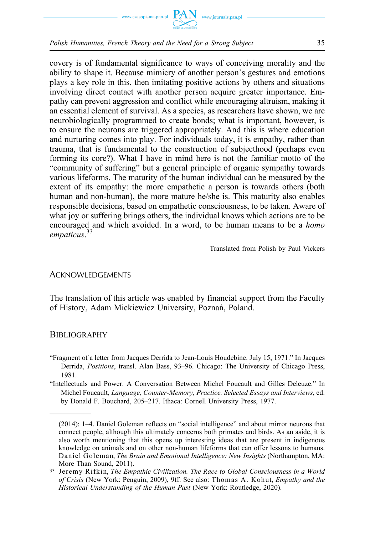

covery is of fundamental significance to ways of conceiving morality and the ability to shape it. Because mimicry of another person's gestures and emotions plays a key role in this, then imitating positive actions by others and situations involving direct contact with another person acquire greater importance. Empathy can prevent aggression and conflict while encouraging altruism, making it an essential element of survival. As a species, as researchers have shown, we are neurobiologically programmed to create bonds; what is important, however, is to ensure the neurons are triggered appropriately. And this is where education and nurturing comes into play. For individuals today, it is empathy, rather than trauma, that is fundamental to the construction of subjecthood (perhaps even forming its core?). What I have in mind here is not the familiar motto of the "community of suffering" but a general principle of organic sympathy towards various lifeforms. The maturity of the human individual can be measured by the extent of its empathy: the more empathetic a person is towards others (both human and non-human), the more mature he/she is. This maturity also enables responsible decisions, based on empathetic consciousness, to be taken. Aware of what joy or suffering brings others, the individual knows which actions are to be encouraged and which avoided. In a word, to be human means to be a *homo empaticus*. 33

Translated from Polish by Paul Vickers

#### ACKNOWLEDGEMENTS

The translation of this article was enabled by financial support from the Faculty of History, Adam Mickiewicz University, Poznań, Poland.

#### **BIBLIOGRAPHY**

"Fragment of a letter from Jacques Derrida to Jean‑Louis Houdebine. July 15, 1971." In Jacques Derrida, *Positions*, transl. Alan Bass, 93–96. Chicago: The University of Chicago Press, 1981.

"Intellectuals and Power. A Conversation Between Michel Foucault and Gilles Deleuze." In Michel Foucault, *Language, Counter‑Memory, Practice. Selected Essays and Interviews*, ed. by Donald F. Bouchard, 205–217. Ithaca: Cornell University Press, 1977.

<sup>(2014): 1–4.</sup> Daniel Goleman reflects on "social intelligence" and about mirror neurons that connect people, although this ultimately concerns both primates and birds. As an aside, it is also worth mentioning that this opens up interesting ideas that are present in indigenous knowledge on animals and on other non-human lifeforms that can offer lessons to humans. Daniel Goleman, *The Brain and Emotional Intelligence: New Insights* (Northampton, MA: More Than Sound, 2011).

<sup>33</sup>Jeremy Rifkin, *The Empathic Civilization. The Race to Global Consciousness in a World of Crisis* (New York: Penguin, 2009), 9ff. See also: Thomas A. Kohut, *Empathy and the Historical Understanding of the Human Past* (New York: Routledge, 2020).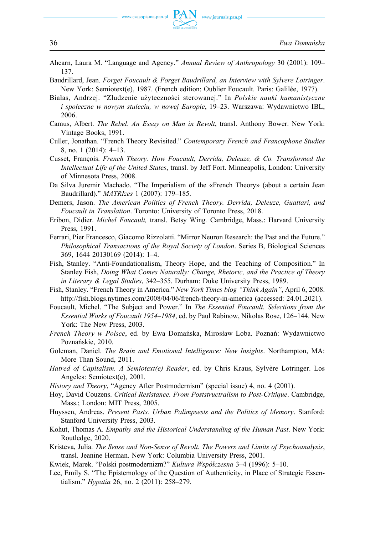

Ahearn, Laura M. "Language and Agency." *Annual Review of Anthropology* 30 (2001): 109– 137.

www.journals.pan.pl

- Baudrillard, Jean. *Forget Foucault & Forget Baudrillard, an Interview with Sylvere Lotringer*. New York: Semiotext(e), 1987. (French edition: Oublier Foucault. Paris: Galilée, 1977).
- Białas, Andrzej. "Złudzenie użyteczności sterowanej." In *Polskie nauki humanistyczne i społeczne w nowym stuleciu, w nowej Europie*, 19–23. Warszawa: Wydawnictwo IBL, 2006.
- Camus, Albert. *The Rebel*. *An Essay on Man in Revolt*, transl. Anthony Bower. New York: Vintage Books, 1991.
- Culler, Jonathan. "French Theory Revisited." *Contemporary French and Francophone Studies*  8, no. 1 (2014): 4–13.
- Cusset, François. *French Theory. How Foucault, Derrida, Deleuze, & Co. Transformed the Intellectual Life of the United States*, transl. by Jeff Fort. Minneapolis, London: University of Minnesota Press, 2008.
- Da Silva Juremir Machado. "The Imperialism of the «French Theory» (about a certain Jean Baudrillard)." *MATRIzes* 1 (2007): 179–185.
- Demers, Jason. *The American Politics of French Theory. Derrida, Deleuze, Guattari, and Foucault in Translation*. Toronto: University of Toronto Press, 2018.
- Eribon, Didier. *Michel Foucault,* transl. Betsy Wing*.* Cambridge, Mass.: Harvard University Press, 1991.
- Ferrari, Pier Francesco, Giacomo Rizzolatti. "Mirror Neuron Research: the Past and the Future." *Philosophical Transactions of the Royal Society of London*. Series B, Biological Sciences 369, 1644 20130169 (2014): 1–4.
- Fish, Stanley. "Anti-Foundationalism, Theory Hope, and the Teaching of Composition." In Stanley Fish, *Doing What Comes Naturally: Change, Rhetoric, and the Practice of Theory in Literary & Legal Studies*, 342–355. Durham: Duke University Press, 1989.
- Fish, Stanley. "French Theory in America." *New York Times blog "Think Again"*, April 6, 2008. http://fish.blogs.nytimes.com/2008/04/06/french-theory-in-america (accessed: 24.01.2021).
- Foucault, Michel. "The Subject and Power." In *The Essential Foucault. Selections from the Essential Works of Foucault 1954–1984*, ed. by Paul Rabinow, Nikolas Rose, 126–144. New York: The New Press, 2003.
- *French Theory w Polsce*, ed. by Ewa Domańska, Mirosław Loba. Poznań: Wydawnictwo Poznańskie, 2010.
- Goleman, Daniel. *The Brain and Emotional Intelligence: New Insights*. Northampton, MA: More Than Sound, 2011.
- *Hatred of Capitalism. A Semiotext(e) Reader*, ed. by Chris Kraus, Sylvère Lotringer. Los Angeles: Semiotext(e), 2001.
- *History and Theory*, "Agency After Postmodernism" (special issue) 4, no. 4 (2001).
- Hoy, David Couzens. *Critical Resistance. From Poststructralism to Post‑Critique*. Cambridge, Mass.; London: MIT Press, 2005.
- Huyssen, Andreas. *Present Pasts. Urban Palimpsests and the Politics of Memory*. Stanford: Stanford University Press, 2003.
- Kohut, Thomas A. *Empathy and the Historical Understanding of the Human Past*. New York: Routledge, 2020.
- Kristeva, Julia. *The Sense and Non‑Sense of Revolt. The Powers and Limits of Psychoanalysis*, transl. Jeanine Herman. New York: Columbia University Press, 2001.
- Kwiek, Marek. "Polski postmodernizm?" *Kultura Współczesna* 3–4 (1996): 5–10.
- Lee, Emily S. "The Epistemology of the Question of Authenticity, in Place of Strategic Essentialism." *Hypatia* 26, no. 2 (2011): 258–279.